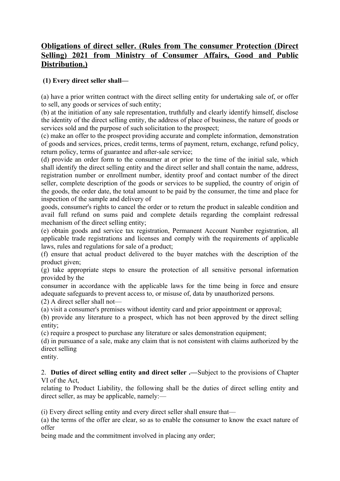## **Obligations of direct seller. (Rules from The consumer Protection (Direct Selling) 2021 from Ministry of Consumer Affairs, Good and Public Distribution.)**

## **(1) Every direct seller shall––**

(a) have a prior written contract with the direct selling entity for undertaking sale of, or offer to sell, any goods or services of such entity;

(b) at the initiation of any sale representation, truthfully and clearly identify himself, disclose the identity of the direct selling entity, the address of place of business, the nature of goods or services sold and the purpose of such solicitation to the prospect;

(c) make an offer to the prospect providing accurate and complete information, demonstration of goods and services, prices, credit terms, terms of payment, return, exchange, refund policy, return policy, terms of guarantee and after-sale service;

(d) provide an order form to the consumer at or prior to the time of the initial sale, which shall identify the direct selling entity and the direct seller and shall contain the name, address, registration number or enrollment number, identity proof and contact number of the direct seller, complete description of the goods or services to be supplied, the country of origin of the goods, the order date, the total amount to be paid by the consumer, the time and place for inspection of the sample and delivery of

goods, consumer's rights to cancel the order or to return the product in saleable condition and avail full refund on sums paid and complete details regarding the complaint redressal mechanism of the direct selling entity;

(e) obtain goods and service tax registration, Permanent Account Number registration, all applicable trade registrations and licenses and comply with the requirements of applicable laws, rules and regulations for sale of a product;

(f) ensure that actual product delivered to the buyer matches with the description of the product given;

(g) take appropriate steps to ensure the protection of all sensitive personal information provided by the

consumer in accordance with the applicable laws for the time being in force and ensure adequate safeguards to prevent access to, or misuse of, data by unauthorized persons.

 $(2)$  A direct seller shall not—

(a) visit a consumer's premises without identity card and prior appointment or approval;

(b) provide any literature to a prospect, which has not been approved by the direct selling entity;

(c) require a prospect to purchase any literature or sales demonstration equipment;

(d) in pursuance of a sale, make any claim that is not consistent with claims authorized by the direct selling

entity.

2. **Duties of direct selling entity and direct seller .––**Subject to the provisions of Chapter VI of the Act,

relating to Product Liability, the following shall be the duties of direct selling entity and direct seller, as may be applicable, namely:—

(i) Every direct selling entity and every direct seller shall ensure that––

(a) the terms of the offer are clear, so as to enable the consumer to know the exact nature of offer

being made and the commitment involved in placing any order;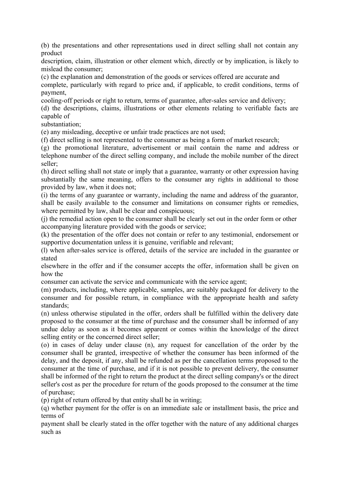(b) the presentations and other representations used in direct selling shall not contain any product

description, claim, illustration or other element which, directly or by implication, is likely to mislead the consumer;

(c) the explanation and demonstration of the goods or services offered are accurate and complete, particularly with regard to price and, if applicable, to credit conditions, terms of payment,

cooling-off periods or right to return, terms of guarantee, after-sales service and delivery;

(d) the descriptions, claims, illustrations or other elements relating to verifiable facts are capable of

substantiation;

(e) any misleading, deceptive or unfair trade practices are not used;

(f) direct selling is not represented to the consumer as being a form of market research;

(g) the promotional literature, advertisement or mail contain the name and address or telephone number of the direct selling company, and include the mobile number of the direct seller;

(h) direct selling shall not state or imply that a guarantee, warranty or other expression having substantially the same meaning, offers to the consumer any rights in additional to those provided by law, when it does not;

(i) the terms of any guarantee or warranty, including the name and address of the guarantor, shall be easily available to the consumer and limitations on consumer rights or remedies, where permitted by law, shall be clear and conspicuous;

(j) the remedial action open to the consumer shall be clearly set out in the order form or other accompanying literature provided with the goods or service;

(k) the presentation of the offer does not contain or refer to any testimonial, endorsement or supportive documentation unless it is genuine, verifiable and relevant;

(l) when after-sales service is offered, details of the service are included in the guarantee or stated

elsewhere in the offer and if the consumer accepts the offer, information shall be given on how the

consumer can activate the service and communicate with the service agent;

(m) products, including, where applicable, samples, are suitably packaged for delivery to the consumer and for possible return, in compliance with the appropriate health and safety standards;

(n) unless otherwise stipulated in the offer, orders shall be fulfilled within the delivery date proposed to the consumer at the time of purchase and the consumer shall be informed of any undue delay as soon as it becomes apparent or comes within the knowledge of the direct selling entity or the concerned direct seller;

(o) in cases of delay under clause (n), any request for cancellation of the order by the consumer shall be granted, irrespective of whether the consumer has been informed of the delay, and the deposit, if any, shall be refunded as per the cancellation terms proposed to the consumer at the time of purchase, and if it is not possible to prevent delivery, the consumer shall be informed of the right to return the product at the direct selling company's or the direct seller's cost as per the procedure for return of the goods proposed to the consumer at the time of purchase;

(p) right of return offered by that entity shall be in writing;

(q) whether payment for the offer is on an immediate sale or installment basis, the price and terms of

payment shall be clearly stated in the offer together with the nature of any additional charges such as